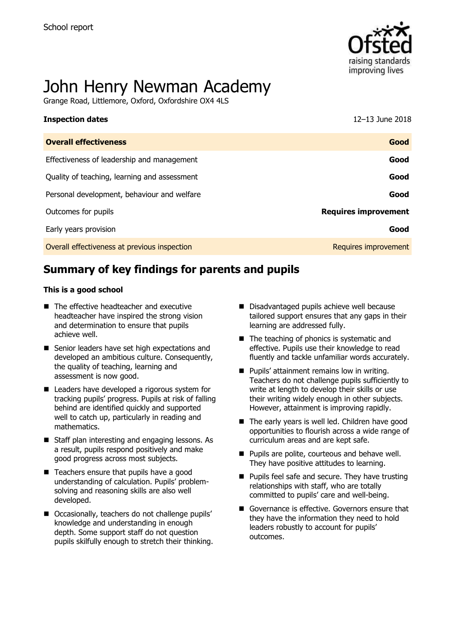

# John Henry Newman Academy

Grange Road, Littlemore, Oxford, Oxfordshire OX4 4LS

| <b>Inspection dates</b>                      | 12-13 June 2018             |
|----------------------------------------------|-----------------------------|
| <b>Overall effectiveness</b>                 | Good                        |
| Effectiveness of leadership and management   | Good                        |
| Quality of teaching, learning and assessment | Good                        |
| Personal development, behaviour and welfare  | Good                        |
| Outcomes for pupils                          | <b>Requires improvement</b> |
| Early years provision                        | Good                        |
| Overall effectiveness at previous inspection | Requires improvement        |

# **Summary of key findings for parents and pupils**

#### **This is a good school**

- The effective headteacher and executive headteacher have inspired the strong vision and determination to ensure that pupils achieve well.
- Senior leaders have set high expectations and developed an ambitious culture. Consequently, the quality of teaching, learning and assessment is now good.
- Leaders have developed a rigorous system for tracking pupils' progress. Pupils at risk of falling behind are identified quickly and supported well to catch up, particularly in reading and mathematics.
- Staff plan interesting and engaging lessons. As a result, pupils respond positively and make good progress across most subjects.
- Teachers ensure that pupils have a good understanding of calculation. Pupils' problemsolving and reasoning skills are also well developed.
- Occasionally, teachers do not challenge pupils' knowledge and understanding in enough depth. Some support staff do not question pupils skilfully enough to stretch their thinking.
- Disadvantaged pupils achieve well because tailored support ensures that any gaps in their learning are addressed fully.
- The teaching of phonics is systematic and effective. Pupils use their knowledge to read fluently and tackle unfamiliar words accurately.
- **Pupils' attainment remains low in writing.** Teachers do not challenge pupils sufficiently to write at length to develop their skills or use their writing widely enough in other subjects. However, attainment is improving rapidly.
- The early years is well led. Children have good opportunities to flourish across a wide range of curriculum areas and are kept safe.
- **Pupils are polite, courteous and behave well.** They have positive attitudes to learning.
- **Pupils feel safe and secure. They have trusting** relationships with staff, who are totally committed to pupils' care and well-being.
- Governance is effective. Governors ensure that they have the information they need to hold leaders robustly to account for pupils' outcomes.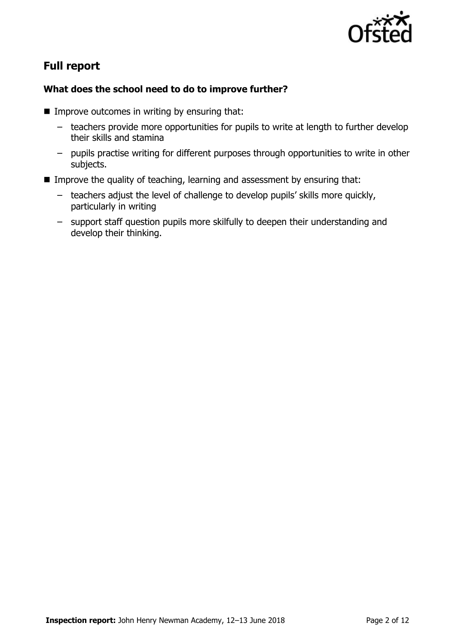

# **Full report**

#### **What does the school need to do to improve further?**

- $\blacksquare$  Improve outcomes in writing by ensuring that:
	- teachers provide more opportunities for pupils to write at length to further develop their skills and stamina
	- pupils practise writing for different purposes through opportunities to write in other subjects.
- **IMPROVE the quality of teaching, learning and assessment by ensuring that:** 
	- teachers adjust the level of challenge to develop pupils' skills more quickly, particularly in writing
	- support staff question pupils more skilfully to deepen their understanding and develop their thinking.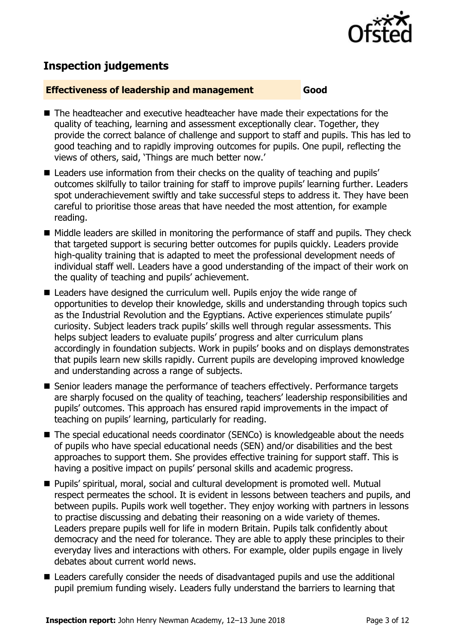

# **Inspection judgements**

#### **Effectiveness of leadership and management Good**

- The headteacher and executive headteacher have made their expectations for the quality of teaching, learning and assessment exceptionally clear. Together, they provide the correct balance of challenge and support to staff and pupils. This has led to good teaching and to rapidly improving outcomes for pupils. One pupil, reflecting the views of others, said, 'Things are much better now.'
- Leaders use information from their checks on the quality of teaching and pupils' outcomes skilfully to tailor training for staff to improve pupils' learning further. Leaders spot underachievement swiftly and take successful steps to address it. They have been careful to prioritise those areas that have needed the most attention, for example reading.
- Middle leaders are skilled in monitoring the performance of staff and pupils. They check that targeted support is securing better outcomes for pupils quickly. Leaders provide high-quality training that is adapted to meet the professional development needs of individual staff well. Leaders have a good understanding of the impact of their work on the quality of teaching and pupils' achievement.
- Leaders have designed the curriculum well. Pupils enjoy the wide range of opportunities to develop their knowledge, skills and understanding through topics such as the Industrial Revolution and the Egyptians. Active experiences stimulate pupils' curiosity. Subject leaders track pupils' skills well through regular assessments. This helps subject leaders to evaluate pupils' progress and alter curriculum plans accordingly in foundation subjects. Work in pupils' books and on displays demonstrates that pupils learn new skills rapidly. Current pupils are developing improved knowledge and understanding across a range of subjects.
- **Senior leaders manage the performance of teachers effectively. Performance targets** are sharply focused on the quality of teaching, teachers' leadership responsibilities and pupils' outcomes. This approach has ensured rapid improvements in the impact of teaching on pupils' learning, particularly for reading.
- The special educational needs coordinator (SENCo) is knowledgeable about the needs of pupils who have special educational needs (SEN) and/or disabilities and the best approaches to support them. She provides effective training for support staff. This is having a positive impact on pupils' personal skills and academic progress.
- Pupils' spiritual, moral, social and cultural development is promoted well. Mutual respect permeates the school. It is evident in lessons between teachers and pupils, and between pupils. Pupils work well together. They enjoy working with partners in lessons to practise discussing and debating their reasoning on a wide variety of themes. Leaders prepare pupils well for life in modern Britain. Pupils talk confidently about democracy and the need for tolerance. They are able to apply these principles to their everyday lives and interactions with others. For example, older pupils engage in lively debates about current world news.
- Leaders carefully consider the needs of disadvantaged pupils and use the additional pupil premium funding wisely. Leaders fully understand the barriers to learning that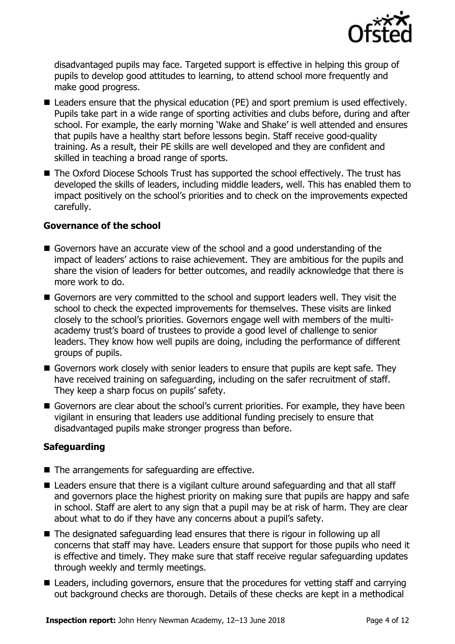

disadvantaged pupils may face. Targeted support is effective in helping this group of pupils to develop good attitudes to learning, to attend school more frequently and make good progress.

- Leaders ensure that the physical education (PE) and sport premium is used effectively. Pupils take part in a wide range of sporting activities and clubs before, during and after school. For example, the early morning 'Wake and Shake' is well attended and ensures that pupils have a healthy start before lessons begin. Staff receive good-quality training. As a result, their PE skills are well developed and they are confident and skilled in teaching a broad range of sports.
- The Oxford Diocese Schools Trust has supported the school effectively. The trust has developed the skills of leaders, including middle leaders, well. This has enabled them to impact positively on the school's priorities and to check on the improvements expected carefully.

#### **Governance of the school**

- Governors have an accurate view of the school and a good understanding of the impact of leaders' actions to raise achievement. They are ambitious for the pupils and share the vision of leaders for better outcomes, and readily acknowledge that there is more work to do.
- Governors are very committed to the school and support leaders well. They visit the school to check the expected improvements for themselves. These visits are linked closely to the school's priorities. Governors engage well with members of the multiacademy trust's board of trustees to provide a good level of challenge to senior leaders. They know how well pupils are doing, including the performance of different groups of pupils.
- Governors work closely with senior leaders to ensure that pupils are kept safe. They have received training on safeguarding, including on the safer recruitment of staff. They keep a sharp focus on pupils' safety.
- Governors are clear about the school's current priorities. For example, they have been vigilant in ensuring that leaders use additional funding precisely to ensure that disadvantaged pupils make stronger progress than before.

#### **Safeguarding**

- $\blacksquare$  The arrangements for safeguarding are effective.
- Leaders ensure that there is a vigilant culture around safeguarding and that all staff and governors place the highest priority on making sure that pupils are happy and safe in school. Staff are alert to any sign that a pupil may be at risk of harm. They are clear about what to do if they have any concerns about a pupil's safety.
- The designated safeguarding lead ensures that there is rigour in following up all concerns that staff may have. Leaders ensure that support for those pupils who need it is effective and timely. They make sure that staff receive regular safeguarding updates through weekly and termly meetings.
- Leaders, including governors, ensure that the procedures for vetting staff and carrying out background checks are thorough. Details of these checks are kept in a methodical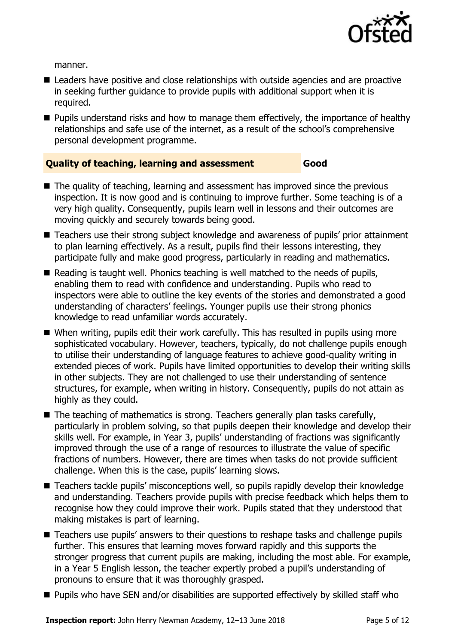

manner.

- **E** Leaders have positive and close relationships with outside agencies and are proactive in seeking further guidance to provide pupils with additional support when it is required.
- **Pupils understand risks and how to manage them effectively, the importance of healthy** relationships and safe use of the internet, as a result of the school's comprehensive personal development programme.

#### **Quality of teaching, learning and assessment Good**

- The quality of teaching, learning and assessment has improved since the previous inspection. It is now good and is continuing to improve further. Some teaching is of a very high quality. Consequently, pupils learn well in lessons and their outcomes are moving quickly and securely towards being good.
- Teachers use their strong subject knowledge and awareness of pupils' prior attainment to plan learning effectively. As a result, pupils find their lessons interesting, they participate fully and make good progress, particularly in reading and mathematics.
- Reading is taught well. Phonics teaching is well matched to the needs of pupils, enabling them to read with confidence and understanding. Pupils who read to inspectors were able to outline the key events of the stories and demonstrated a good understanding of characters' feelings. Younger pupils use their strong phonics knowledge to read unfamiliar words accurately.
- When writing, pupils edit their work carefully. This has resulted in pupils using more sophisticated vocabulary. However, teachers, typically, do not challenge pupils enough to utilise their understanding of language features to achieve good-quality writing in extended pieces of work. Pupils have limited opportunities to develop their writing skills in other subjects. They are not challenged to use their understanding of sentence structures, for example, when writing in history. Consequently, pupils do not attain as highly as they could.
- $\blacksquare$  The teaching of mathematics is strong. Teachers generally plan tasks carefully, particularly in problem solving, so that pupils deepen their knowledge and develop their skills well. For example, in Year 3, pupils' understanding of fractions was significantly improved through the use of a range of resources to illustrate the value of specific fractions of numbers. However, there are times when tasks do not provide sufficient challenge. When this is the case, pupils' learning slows.
- Teachers tackle pupils' misconceptions well, so pupils rapidly develop their knowledge and understanding. Teachers provide pupils with precise feedback which helps them to recognise how they could improve their work. Pupils stated that they understood that making mistakes is part of learning.
- Teachers use pupils' answers to their questions to reshape tasks and challenge pupils further. This ensures that learning moves forward rapidly and this supports the stronger progress that current pupils are making, including the most able. For example, in a Year 5 English lesson, the teacher expertly probed a pupil's understanding of pronouns to ensure that it was thoroughly grasped.
- Pupils who have SEN and/or disabilities are supported effectively by skilled staff who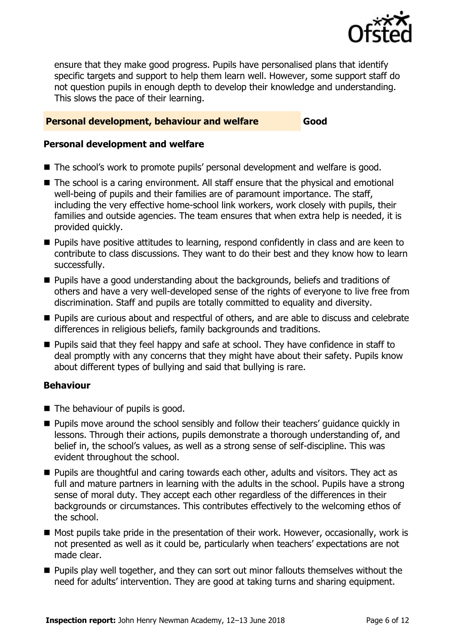

ensure that they make good progress. Pupils have personalised plans that identify specific targets and support to help them learn well. However, some support staff do not question pupils in enough depth to develop their knowledge and understanding. This slows the pace of their learning.

#### **Personal development, behaviour and welfare Good**

#### **Personal development and welfare**

- The school's work to promote pupils' personal development and welfare is good.
- The school is a caring environment. All staff ensure that the physical and emotional well-being of pupils and their families are of paramount importance. The staff, including the very effective home-school link workers, work closely with pupils, their families and outside agencies. The team ensures that when extra help is needed, it is provided quickly.
- **Pupils have positive attitudes to learning, respond confidently in class and are keen to** contribute to class discussions. They want to do their best and they know how to learn successfully.
- **Pupils have a good understanding about the backgrounds, beliefs and traditions of** others and have a very well-developed sense of the rights of everyone to live free from discrimination. Staff and pupils are totally committed to equality and diversity.
- **Pupils are curious about and respectful of others, and are able to discuss and celebrate** differences in religious beliefs, family backgrounds and traditions.
- **Pupils said that they feel happy and safe at school. They have confidence in staff to** deal promptly with any concerns that they might have about their safety. Pupils know about different types of bullying and said that bullying is rare.

#### **Behaviour**

- The behaviour of pupils is good.
- **Pupils move around the school sensibly and follow their teachers' guidance quickly in** lessons. Through their actions, pupils demonstrate a thorough understanding of, and belief in, the school's values, as well as a strong sense of self-discipline. This was evident throughout the school.
- **Pupils are thoughtful and caring towards each other, adults and visitors. They act as** full and mature partners in learning with the adults in the school. Pupils have a strong sense of moral duty. They accept each other regardless of the differences in their backgrounds or circumstances. This contributes effectively to the welcoming ethos of the school.
- Most pupils take pride in the presentation of their work. However, occasionally, work is not presented as well as it could be, particularly when teachers' expectations are not made clear.
- **Pupils play well together, and they can sort out minor fallouts themselves without the** need for adults' intervention. They are good at taking turns and sharing equipment.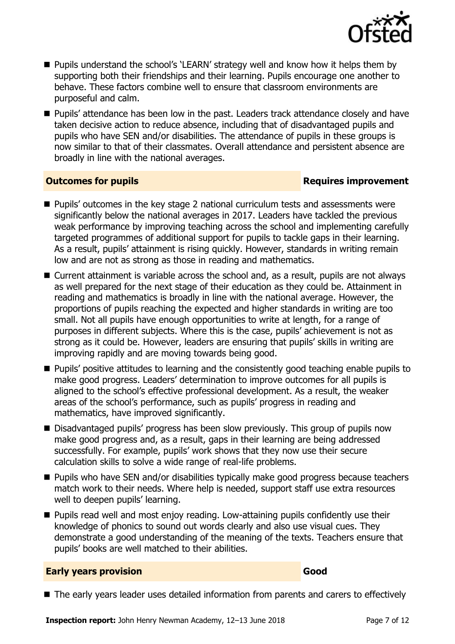

- **Pupils understand the school's 'LEARN' strategy well and know how it helps them by** supporting both their friendships and their learning. Pupils encourage one another to behave. These factors combine well to ensure that classroom environments are purposeful and calm.
- Pupils' attendance has been low in the past. Leaders track attendance closely and have taken decisive action to reduce absence, including that of disadvantaged pupils and pupils who have SEN and/or disabilities. The attendance of pupils in these groups is now similar to that of their classmates. Overall attendance and persistent absence are broadly in line with the national averages.

#### **Outcomes for pupils Requires improvement**

- Pupils' outcomes in the key stage 2 national curriculum tests and assessments were significantly below the national averages in 2017. Leaders have tackled the previous weak performance by improving teaching across the school and implementing carefully targeted programmes of additional support for pupils to tackle gaps in their learning. As a result, pupils' attainment is rising quickly. However, standards in writing remain low and are not as strong as those in reading and mathematics.
- Current attainment is variable across the school and, as a result, pupils are not always as well prepared for the next stage of their education as they could be. Attainment in reading and mathematics is broadly in line with the national average. However, the proportions of pupils reaching the expected and higher standards in writing are too small. Not all pupils have enough opportunities to write at length, for a range of purposes in different subjects. Where this is the case, pupils' achievement is not as strong as it could be. However, leaders are ensuring that pupils' skills in writing are improving rapidly and are moving towards being good.
- **Pupils' positive attitudes to learning and the consistently good teaching enable pupils to** make good progress. Leaders' determination to improve outcomes for all pupils is aligned to the school's effective professional development. As a result, the weaker areas of the school's performance, such as pupils' progress in reading and mathematics, have improved significantly.
- Disadvantaged pupils' progress has been slow previously. This group of pupils now make good progress and, as a result, gaps in their learning are being addressed successfully. For example, pupils' work shows that they now use their secure calculation skills to solve a wide range of real-life problems.
- **Pupils who have SEN and/or disabilities typically make good progress because teachers** match work to their needs. Where help is needed, support staff use extra resources well to deepen pupils' learning.
- **Pupils read well and most enjoy reading. Low-attaining pupils confidently use their** knowledge of phonics to sound out words clearly and also use visual cues. They demonstrate a good understanding of the meaning of the texts. Teachers ensure that pupils' books are well matched to their abilities.

#### **Early years provision Good Good**

■ The early years leader uses detailed information from parents and carers to effectively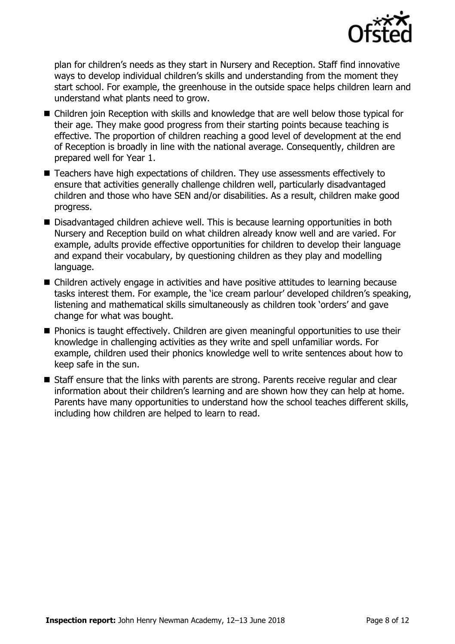

plan for children's needs as they start in Nursery and Reception. Staff find innovative ways to develop individual children's skills and understanding from the moment they start school. For example, the greenhouse in the outside space helps children learn and understand what plants need to grow.

- Children join Reception with skills and knowledge that are well below those typical for their age. They make good progress from their starting points because teaching is effective. The proportion of children reaching a good level of development at the end of Reception is broadly in line with the national average. Consequently, children are prepared well for Year 1.
- Teachers have high expectations of children. They use assessments effectively to ensure that activities generally challenge children well, particularly disadvantaged children and those who have SEN and/or disabilities. As a result, children make good progress.
- Disadvantaged children achieve well. This is because learning opportunities in both Nursery and Reception build on what children already know well and are varied. For example, adults provide effective opportunities for children to develop their language and expand their vocabulary, by questioning children as they play and modelling language.
- Children actively engage in activities and have positive attitudes to learning because tasks interest them. For example, the 'ice cream parlour' developed children's speaking, listening and mathematical skills simultaneously as children took 'orders' and gave change for what was bought.
- **Phonics is taught effectively. Children are given meaningful opportunities to use their** knowledge in challenging activities as they write and spell unfamiliar words. For example, children used their phonics knowledge well to write sentences about how to keep safe in the sun.
- Staff ensure that the links with parents are strong. Parents receive regular and clear information about their children's learning and are shown how they can help at home. Parents have many opportunities to understand how the school teaches different skills, including how children are helped to learn to read.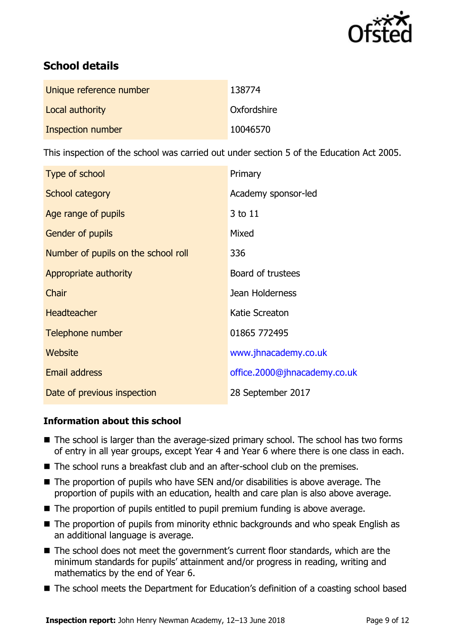

# **School details**

| Unique reference number | 138774      |
|-------------------------|-------------|
| Local authority         | Oxfordshire |
| Inspection number       | 10046570    |

This inspection of the school was carried out under section 5 of the Education Act 2005.

| Type of school                      | Primary                      |
|-------------------------------------|------------------------------|
| School category                     | Academy sponsor-led          |
| Age range of pupils                 | 3 to 11                      |
| Gender of pupils                    | Mixed                        |
| Number of pupils on the school roll | 336                          |
| Appropriate authority               | Board of trustees            |
| Chair                               | Jean Holderness              |
| <b>Headteacher</b>                  | Katie Screaton               |
| Telephone number                    | 01865 772495                 |
| Website                             | www.jhnacademy.co.uk         |
| <b>Email address</b>                | office.2000@jhnacademy.co.uk |
| Date of previous inspection         | 28 September 2017            |

### **Information about this school**

- The school is larger than the average-sized primary school. The school has two forms of entry in all year groups, except Year 4 and Year 6 where there is one class in each.
- The school runs a breakfast club and an after-school club on the premises.
- $\blacksquare$  The proportion of pupils who have SEN and/or disabilities is above average. The proportion of pupils with an education, health and care plan is also above average.
- The proportion of pupils entitled to pupil premium funding is above average.
- The proportion of pupils from minority ethnic backgrounds and who speak English as an additional language is average.
- The school does not meet the government's current floor standards, which are the minimum standards for pupils' attainment and/or progress in reading, writing and mathematics by the end of Year 6.
- The school meets the Department for Education's definition of a coasting school based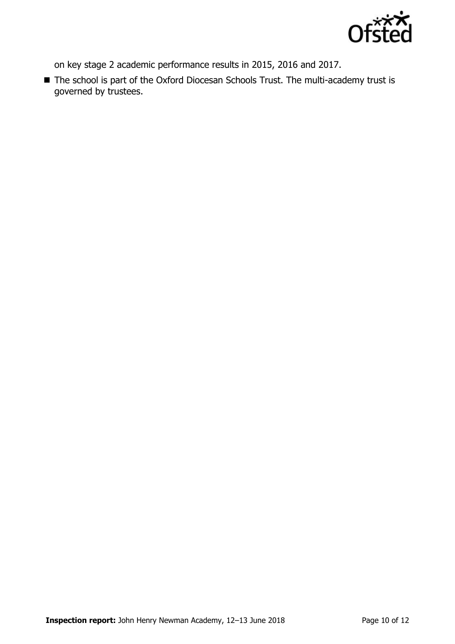

on key stage 2 academic performance results in 2015, 2016 and 2017.

■ The school is part of the Oxford Diocesan Schools Trust. The multi-academy trust is governed by trustees.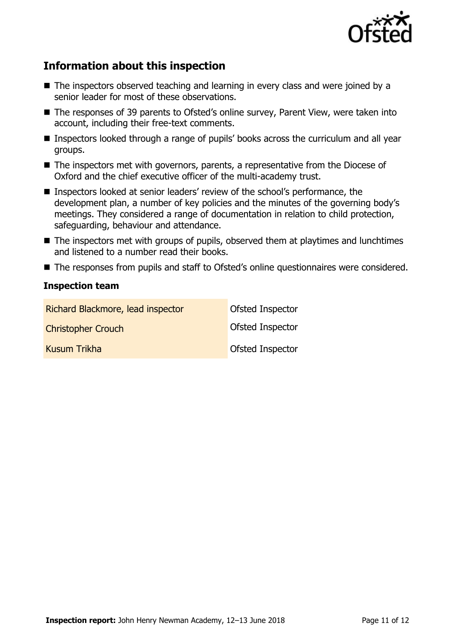

# **Information about this inspection**

- The inspectors observed teaching and learning in every class and were joined by a senior leader for most of these observations.
- The responses of 39 parents to Ofsted's online survey, Parent View, were taken into account, including their free-text comments.
- Inspectors looked through a range of pupils' books across the curriculum and all year groups.
- The inspectors met with governors, parents, a representative from the Diocese of Oxford and the chief executive officer of the multi-academy trust.
- Inspectors looked at senior leaders' review of the school's performance, the development plan, a number of key policies and the minutes of the governing body's meetings. They considered a range of documentation in relation to child protection, safeguarding, behaviour and attendance.
- The inspectors met with groups of pupils, observed them at playtimes and lunchtimes and listened to a number read their books.
- The responses from pupils and staff to Ofsted's online questionnaires were considered.

#### **Inspection team**

| Richard Blackmore, lead inspector | Ofsted Inspector |
|-----------------------------------|------------------|
| <b>Christopher Crouch</b>         | Ofsted Inspector |
| Kusum Trikha                      | Ofsted Inspector |